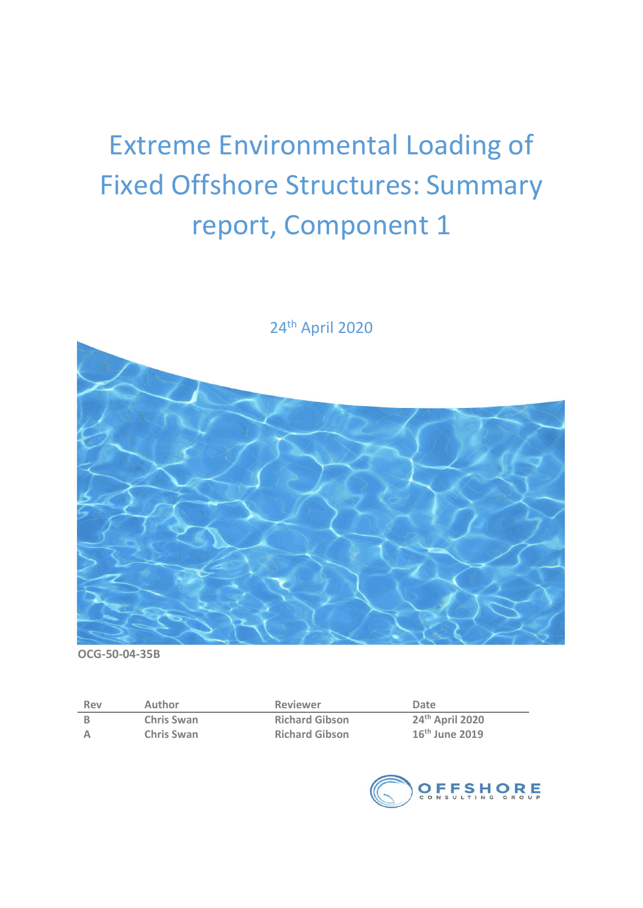# Extreme Environmental Loading of Fixed Offshore Structures: Summary report, Component 1



24 th April 2020

**OCG-50-04-35B**

| Rev | Author            | <b>Reviewer</b>       | Date             |
|-----|-------------------|-----------------------|------------------|
|     | <b>Chris Swan</b> | <b>Richard Gibson</b> | 24th April 2020  |
| A   | <b>Chris Swan</b> | <b>Richard Gibson</b> | $16th$ June 2019 |

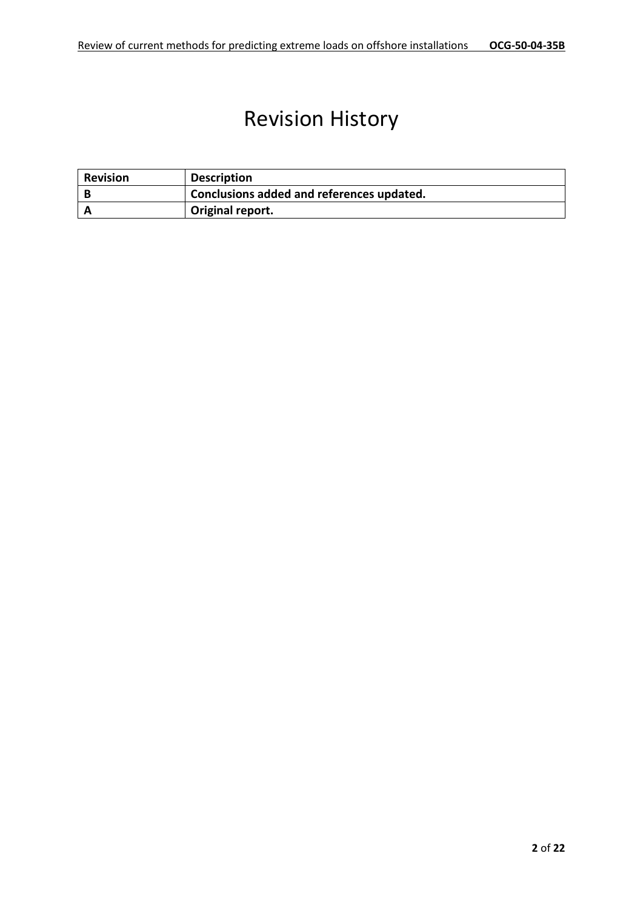# Revision History

| <b>Revision</b> | <b>Description</b>                        |
|-----------------|-------------------------------------------|
|                 | Conclusions added and references updated. |
|                 | Original report.                          |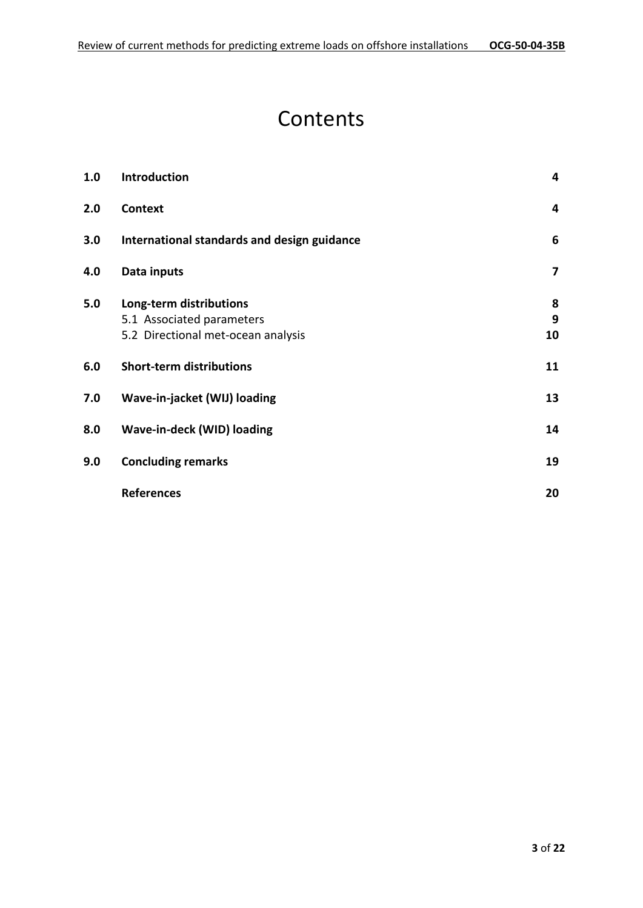# **Contents**

| 1.0 | Introduction                                | 4  |
|-----|---------------------------------------------|----|
| 2.0 | Context                                     | 4  |
| 3.0 | International standards and design guidance | 6  |
| 4.0 | Data inputs                                 | 7  |
| 5.0 | Long-term distributions                     | 8  |
|     | 5.1 Associated parameters                   | 9  |
|     | 5.2 Directional met-ocean analysis          | 10 |
| 6.0 | <b>Short-term distributions</b>             | 11 |
| 7.0 | Wave-in-jacket (WIJ) loading                | 13 |
| 8.0 | Wave-in-deck (WID) loading                  | 14 |
| 9.0 | <b>Concluding remarks</b>                   | 19 |
|     | <b>References</b>                           | 20 |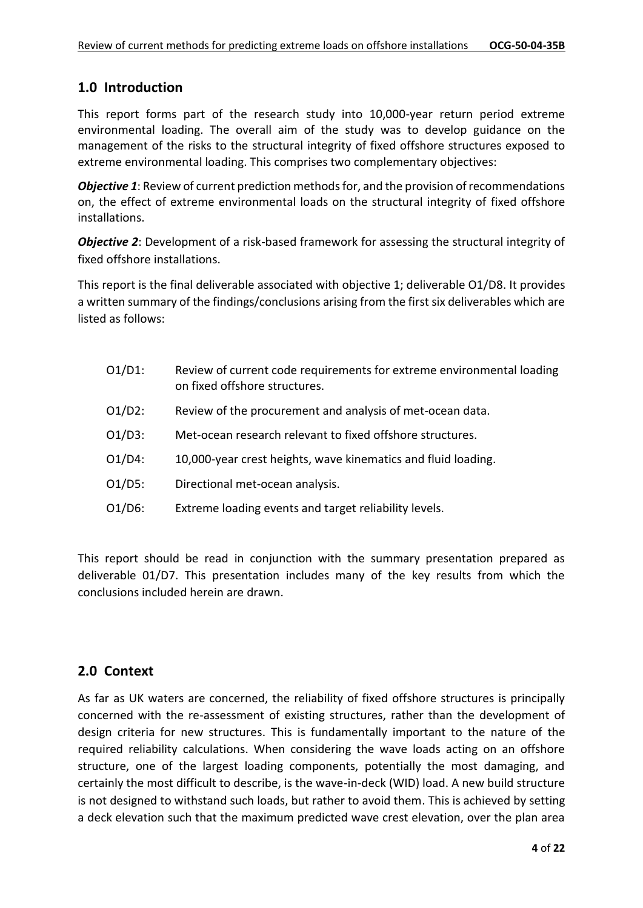#### **1.0 Introduction**

This report forms part of the research study into 10,000-year return period extreme environmental loading. The overall aim of the study was to develop guidance on the management of the risks to the structural integrity of fixed offshore structures exposed to extreme environmental loading. This comprises two complementary objectives:

*Objective 1*: Review of current prediction methods for, and the provision of recommendations on, the effect of extreme environmental loads on the structural integrity of fixed offshore installations.

*Objective 2*: Development of a risk-based framework for assessing the structural integrity of fixed offshore installations.

This report is the final deliverable associated with objective 1; deliverable O1/D8. It provides a written summary of the findings/conclusions arising from the first six deliverables which are listed as follows:

| $O1/D1$ : | Review of current code requirements for extreme environmental loading<br>on fixed offshore structures. |
|-----------|--------------------------------------------------------------------------------------------------------|
| $O1/D2$ : | Review of the procurement and analysis of met-ocean data.                                              |
| $O1/D3$ : | Met-ocean research relevant to fixed offshore structures.                                              |
| $O1/D4$ : | 10,000-year crest heights, wave kinematics and fluid loading.                                          |
| $O1/D5$ : | Directional met-ocean analysis.                                                                        |
| $O1/D6$ : | Extreme loading events and target reliability levels.                                                  |

This report should be read in conjunction with the summary presentation prepared as deliverable 01/D7. This presentation includes many of the key results from which the conclusions included herein are drawn.

#### **2.0 Context**

As far as UK waters are concerned, the reliability of fixed offshore structures is principally concerned with the re-assessment of existing structures, rather than the development of design criteria for new structures. This is fundamentally important to the nature of the required reliability calculations. When considering the wave loads acting on an offshore structure, one of the largest loading components, potentially the most damaging, and certainly the most difficult to describe, is the wave-in-deck (WID) load. A new build structure is not designed to withstand such loads, but rather to avoid them. This is achieved by setting a deck elevation such that the maximum predicted wave crest elevation, over the plan area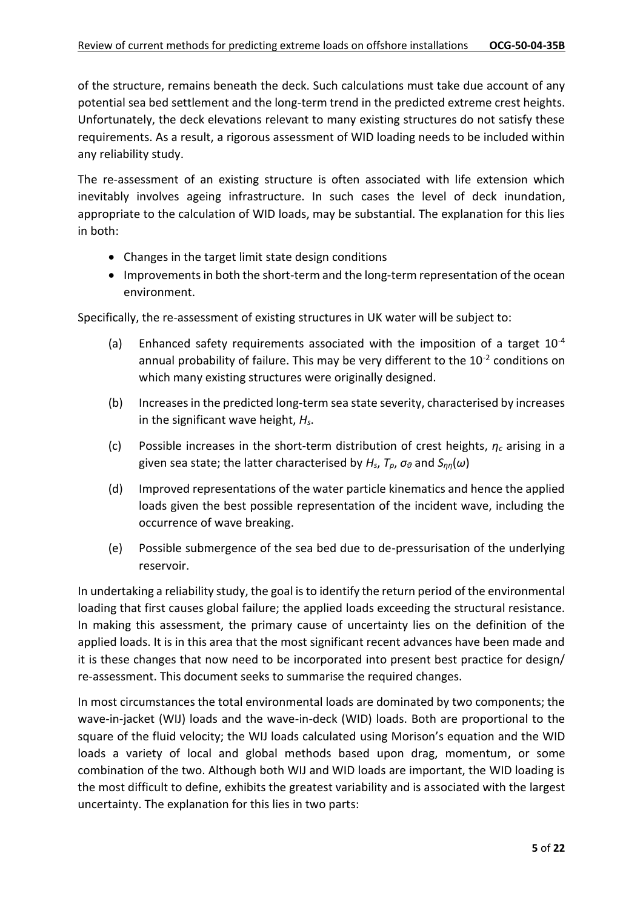of the structure, remains beneath the deck. Such calculations must take due account of any potential sea bed settlement and the long-term trend in the predicted extreme crest heights. Unfortunately, the deck elevations relevant to many existing structures do not satisfy these requirements. As a result, a rigorous assessment of WID loading needs to be included within any reliability study.

The re-assessment of an existing structure is often associated with life extension which inevitably involves ageing infrastructure. In such cases the level of deck inundation, appropriate to the calculation of WID loads, may be substantial. The explanation for this lies in both:

- Changes in the target limit state design conditions
- Improvements in both the short-term and the long-term representation of the ocean environment.

Specifically, the re-assessment of existing structures in UK water will be subject to:

- (a) Enhanced safety requirements associated with the imposition of a target  $10^{-4}$ annual probability of failure. This may be very different to the  $10^{-2}$  conditions on which many existing structures were originally designed.
- (b) Increases in the predicted long-term sea state severity, characterised by increases in the significant wave height, *Hs*.
- (c) Possible increases in the short-term distribution of crest heights, *η<sup>c</sup>* arising in a given sea state; the latter characterised by *Hs*, *Tp*, *σ<sup>θ</sup>* and *Sηη*(*ω*)
- (d) Improved representations of the water particle kinematics and hence the applied loads given the best possible representation of the incident wave, including the occurrence of wave breaking.
- (e) Possible submergence of the sea bed due to de-pressurisation of the underlying reservoir.

In undertaking a reliability study, the goal is to identify the return period of the environmental loading that first causes global failure; the applied loads exceeding the structural resistance. In making this assessment, the primary cause of uncertainty lies on the definition of the applied loads. It is in this area that the most significant recent advances have been made and it is these changes that now need to be incorporated into present best practice for design/ re-assessment. This document seeks to summarise the required changes.

In most circumstances the total environmental loads are dominated by two components; the wave-in-jacket (WIJ) loads and the wave-in-deck (WID) loads. Both are proportional to the square of the fluid velocity; the WIJ loads calculated using Morison's equation and the WID loads a variety of local and global methods based upon drag, momentum, or some combination of the two. Although both WIJ and WID loads are important, the WID loading is the most difficult to define, exhibits the greatest variability and is associated with the largest uncertainty. The explanation for this lies in two parts: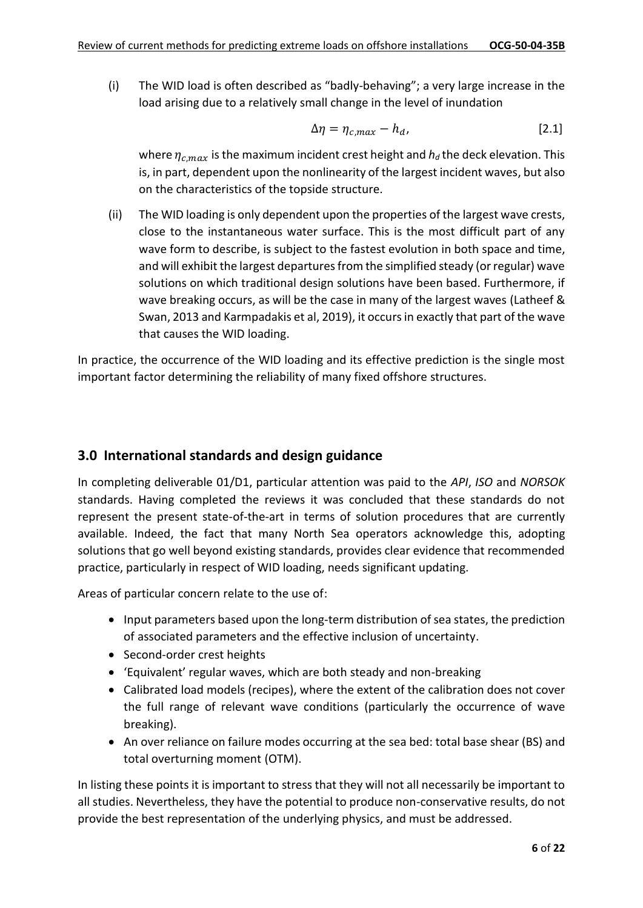(i) The WID load is often described as "badly-behaving"; a very large increase in the load arising due to a relatively small change in the level of inundation

$$
\Delta \eta = \eta_{c,max} - h_d, \tag{2.1}
$$

where  $\eta_{c,max}$  is the maximum incident crest height and  $h_d$  the deck elevation. This is, in part, dependent upon the nonlinearity of the largest incident waves, but also on the characteristics of the topside structure.

(ii) The WID loading is only dependent upon the properties of the largest wave crests, close to the instantaneous water surface. This is the most difficult part of any wave form to describe, is subject to the fastest evolution in both space and time, and will exhibit the largest departures from the simplified steady (or regular) wave solutions on which traditional design solutions have been based. Furthermore, if wave breaking occurs, as will be the case in many of the largest waves (Latheef & Swan, 2013 and Karmpadakis et al, 2019), it occurs in exactly that part of the wave that causes the WID loading.

In practice, the occurrence of the WID loading and its effective prediction is the single most important factor determining the reliability of many fixed offshore structures.

#### **3.0 International standards and design guidance**

In completing deliverable 01/D1, particular attention was paid to the *API*, *ISO* and *NORSOK* standards. Having completed the reviews it was concluded that these standards do not represent the present state-of-the-art in terms of solution procedures that are currently available. Indeed, the fact that many North Sea operators acknowledge this, adopting solutions that go well beyond existing standards, provides clear evidence that recommended practice, particularly in respect of WID loading, needs significant updating.

Areas of particular concern relate to the use of:

- Input parameters based upon the long-term distribution of sea states, the prediction of associated parameters and the effective inclusion of uncertainty.
- Second-order crest heights
- 'Equivalent' regular waves, which are both steady and non-breaking
- Calibrated load models (recipes), where the extent of the calibration does not cover the full range of relevant wave conditions (particularly the occurrence of wave breaking).
- An over reliance on failure modes occurring at the sea bed: total base shear (BS) and total overturning moment (OTM).

In listing these points it is important to stress that they will not all necessarily be important to all studies. Nevertheless, they have the potential to produce non-conservative results, do not provide the best representation of the underlying physics, and must be addressed.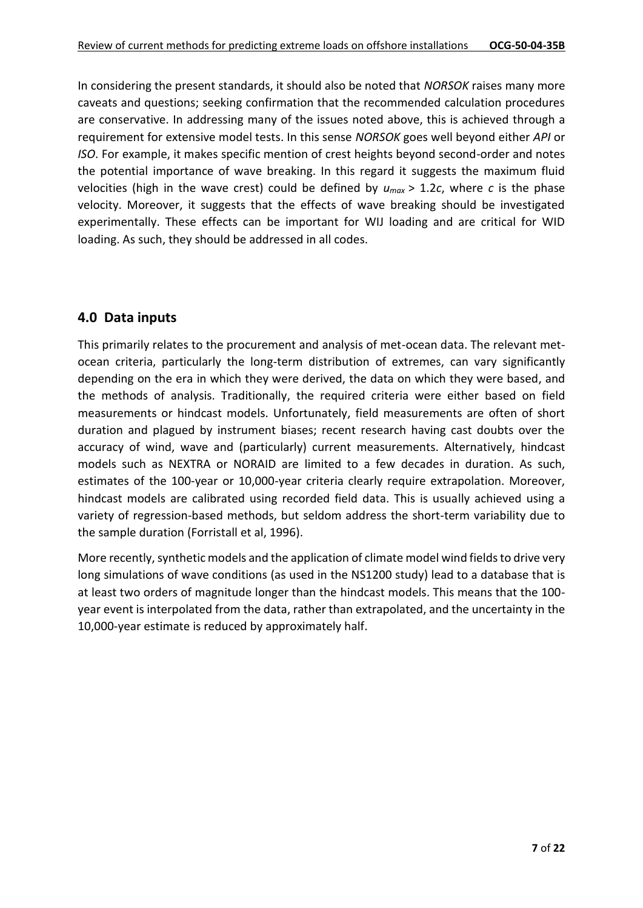In considering the present standards, it should also be noted that *NORSOK* raises many more caveats and questions; seeking confirmation that the recommended calculation procedures are conservative. In addressing many of the issues noted above, this is achieved through a requirement for extensive model tests. In this sense *NORSOK* goes well beyond either *API* or *ISO*. For example, it makes specific mention of crest heights beyond second-order and notes the potential importance of wave breaking. In this regard it suggests the maximum fluid velocities (high in the wave crest) could be defined by  $u_{max} > 1.2c$ , where *c* is the phase velocity. Moreover, it suggests that the effects of wave breaking should be investigated experimentally. These effects can be important for WIJ loading and are critical for WID loading. As such, they should be addressed in all codes.

### **4.0 Data inputs**

This primarily relates to the procurement and analysis of met-ocean data. The relevant metocean criteria, particularly the long-term distribution of extremes, can vary significantly depending on the era in which they were derived, the data on which they were based, and the methods of analysis. Traditionally, the required criteria were either based on field measurements or hindcast models. Unfortunately, field measurements are often of short duration and plagued by instrument biases; recent research having cast doubts over the accuracy of wind, wave and (particularly) current measurements. Alternatively, hindcast models such as NEXTRA or NORAID are limited to a few decades in duration. As such, estimates of the 100-year or 10,000-year criteria clearly require extrapolation. Moreover, hindcast models are calibrated using recorded field data. This is usually achieved using a variety of regression-based methods, but seldom address the short-term variability due to the sample duration (Forristall et al, 1996).

More recently, synthetic models and the application of climate model wind fields to drive very long simulations of wave conditions (as used in the NS1200 study) lead to a database that is at least two orders of magnitude longer than the hindcast models. This means that the 100 year event is interpolated from the data, rather than extrapolated, and the uncertainty in the 10,000-year estimate is reduced by approximately half.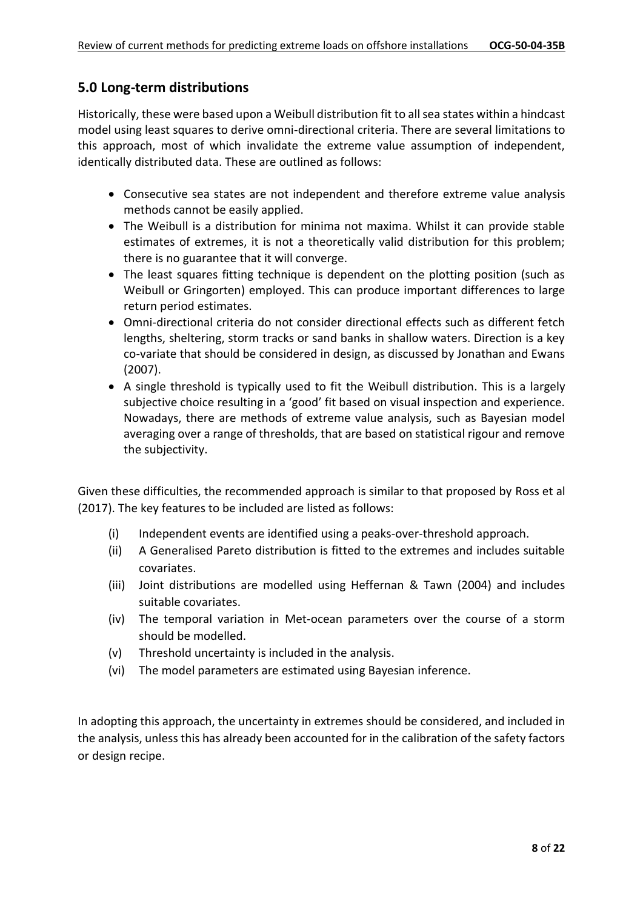### **5.0 Long-term distributions**

Historically, these were based upon a Weibull distribution fit to all sea states within a hindcast model using least squares to derive omni-directional criteria. There are several limitations to this approach, most of which invalidate the extreme value assumption of independent, identically distributed data. These are outlined as follows:

- Consecutive sea states are not independent and therefore extreme value analysis methods cannot be easily applied.
- The Weibull is a distribution for minima not maxima. Whilst it can provide stable estimates of extremes, it is not a theoretically valid distribution for this problem; there is no guarantee that it will converge.
- The least squares fitting technique is dependent on the plotting position (such as Weibull or Gringorten) employed. This can produce important differences to large return period estimates.
- Omni-directional criteria do not consider directional effects such as different fetch lengths, sheltering, storm tracks or sand banks in shallow waters. Direction is a key co-variate that should be considered in design, as discussed by Jonathan and Ewans (2007).
- A single threshold is typically used to fit the Weibull distribution. This is a largely subjective choice resulting in a 'good' fit based on visual inspection and experience. Nowadays, there are methods of extreme value analysis, such as Bayesian model averaging over a range of thresholds, that are based on statistical rigour and remove the subjectivity.

Given these difficulties, the recommended approach is similar to that proposed by Ross et al (2017). The key features to be included are listed as follows:

- (i) Independent events are identified using a peaks-over-threshold approach.
- (ii) A Generalised Pareto distribution is fitted to the extremes and includes suitable covariates.
- (iii) Joint distributions are modelled using Heffernan & Tawn (2004) and includes suitable covariates.
- (iv) The temporal variation in Met-ocean parameters over the course of a storm should be modelled.
- (v) Threshold uncertainty is included in the analysis.
- (vi) The model parameters are estimated using Bayesian inference.

In adopting this approach, the uncertainty in extremes should be considered, and included in the analysis, unless this has already been accounted for in the calibration of the safety factors or design recipe.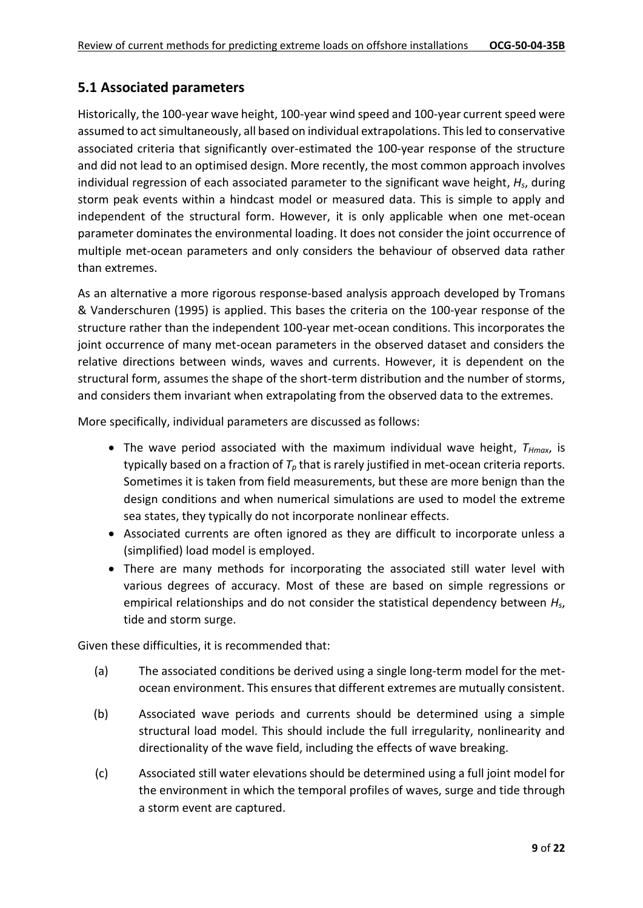# **5.1 Associated parameters**

Historically, the 100-year wave height, 100-year wind speed and 100-year current speed were assumed to act simultaneously, all based on individual extrapolations. This led to conservative associated criteria that significantly over-estimated the 100-year response of the structure and did not lead to an optimised design. More recently, the most common approach involves individual regression of each associated parameter to the significant wave height, *Hs*, during storm peak events within a hindcast model or measured data. This is simple to apply and independent of the structural form. However, it is only applicable when one met-ocean parameter dominates the environmental loading. It does not consider the joint occurrence of multiple met-ocean parameters and only considers the behaviour of observed data rather than extremes.

As an alternative a more rigorous response-based analysis approach developed by Tromans & Vanderschuren (1995) is applied. This bases the criteria on the 100-year response of the structure rather than the independent 100-year met-ocean conditions. This incorporates the joint occurrence of many met-ocean parameters in the observed dataset and considers the relative directions between winds, waves and currents. However, it is dependent on the structural form, assumes the shape of the short-term distribution and the number of storms, and considers them invariant when extrapolating from the observed data to the extremes.

More specifically, individual parameters are discussed as follows:

- The wave period associated with the maximum individual wave height, *THmax*, is typically based on a fraction of *T<sup>p</sup>* that is rarely justified in met-ocean criteria reports. Sometimes it is taken from field measurements, but these are more benign than the design conditions and when numerical simulations are used to model the extreme sea states, they typically do not incorporate nonlinear effects.
- Associated currents are often ignored as they are difficult to incorporate unless a (simplified) load model is employed.
- There are many methods for incorporating the associated still water level with various degrees of accuracy. Most of these are based on simple regressions or empirical relationships and do not consider the statistical dependency between *Hs*, tide and storm surge.

Given these difficulties, it is recommended that:

- (a) The associated conditions be derived using a single long-term model for the metocean environment. This ensures that different extremes are mutually consistent.
- (b) Associated wave periods and currents should be determined using a simple structural load model. This should include the full irregularity, nonlinearity and directionality of the wave field, including the effects of wave breaking.
- (c) Associated still water elevations should be determined using a full joint model for the environment in which the temporal profiles of waves, surge and tide through a storm event are captured.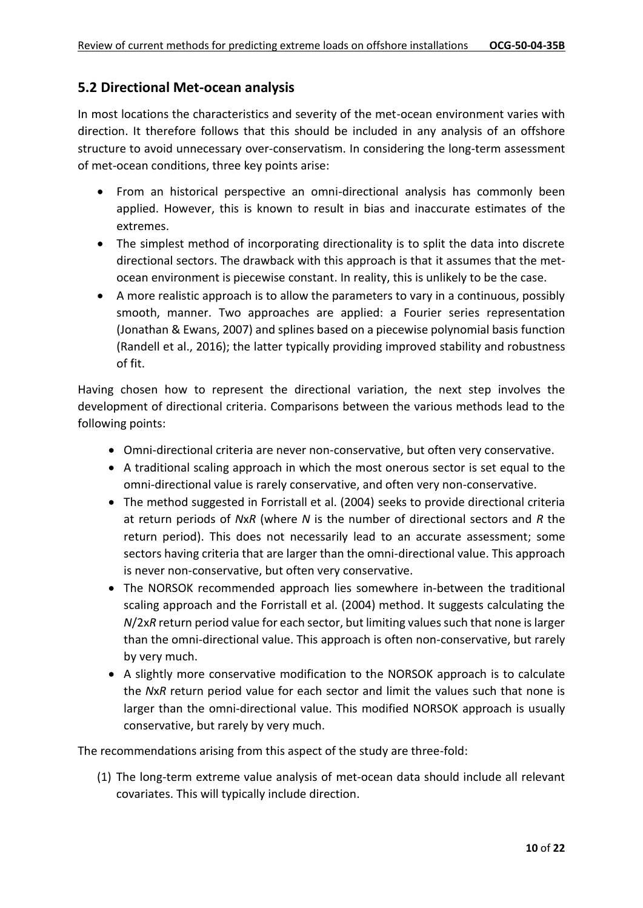#### **5.2 Directional Met-ocean analysis**

In most locations the characteristics and severity of the met-ocean environment varies with direction. It therefore follows that this should be included in any analysis of an offshore structure to avoid unnecessary over-conservatism. In considering the long-term assessment of met-ocean conditions, three key points arise:

- From an historical perspective an omni-directional analysis has commonly been applied. However, this is known to result in bias and inaccurate estimates of the extremes.
- The simplest method of incorporating directionality is to split the data into discrete directional sectors. The drawback with this approach is that it assumes that the metocean environment is piecewise constant. In reality, this is unlikely to be the case.
- A more realistic approach is to allow the parameters to vary in a continuous, possibly smooth, manner. Two approaches are applied: a Fourier series representation (Jonathan & Ewans, 2007) and splines based on a piecewise polynomial basis function (Randell et al., 2016); the latter typically providing improved stability and robustness of fit.

Having chosen how to represent the directional variation, the next step involves the development of directional criteria. Comparisons between the various methods lead to the following points:

- Omni-directional criteria are never non-conservative, but often very conservative.
- A traditional scaling approach in which the most onerous sector is set equal to the omni-directional value is rarely conservative, and often very non-conservative.
- The method suggested in Forristall et al. (2004) seeks to provide directional criteria at return periods of *N*x*R* (where *N* is the number of directional sectors and *R* the return period). This does not necessarily lead to an accurate assessment; some sectors having criteria that are larger than the omni-directional value. This approach is never non-conservative, but often very conservative.
- The NORSOK recommended approach lies somewhere in-between the traditional scaling approach and the Forristall et al. (2004) method. It suggests calculating the *N*/2x*R* return period value for each sector, but limiting values such that none is larger than the omni-directional value. This approach is often non-conservative, but rarely by very much.
- A slightly more conservative modification to the NORSOK approach is to calculate the *N*x*R* return period value for each sector and limit the values such that none is larger than the omni-directional value. This modified NORSOK approach is usually conservative, but rarely by very much.

The recommendations arising from this aspect of the study are three-fold:

(1) The long-term extreme value analysis of met-ocean data should include all relevant covariates. This will typically include direction.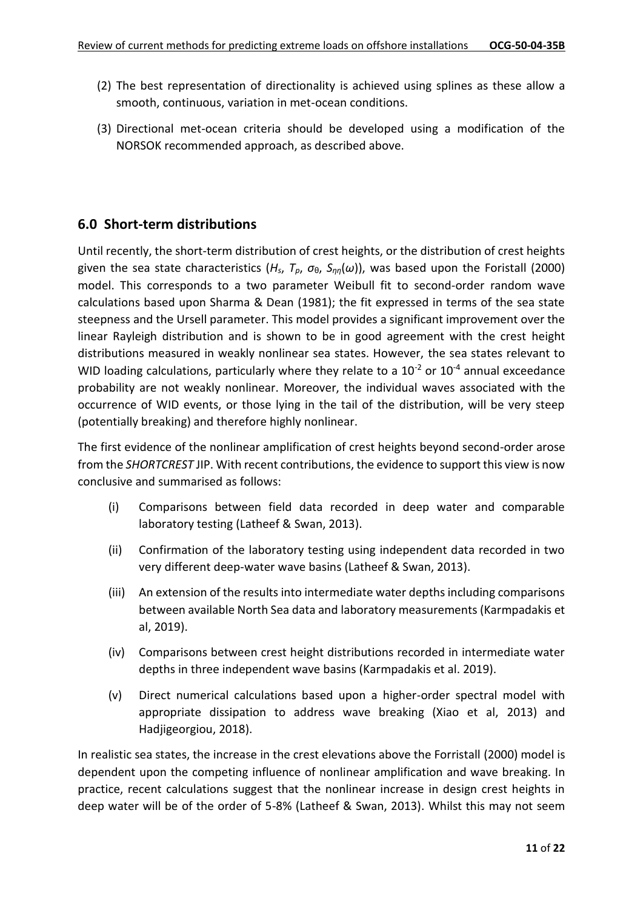- (2) The best representation of directionality is achieved using splines as these allow a smooth, continuous, variation in met-ocean conditions.
- (3) Directional met-ocean criteria should be developed using a modification of the NORSOK recommended approach, as described above.

### **6.0 Short-term distributions**

Until recently, the short-term distribution of crest heights, or the distribution of crest heights given the sea state characteristics ( $H_s$ ,  $T_p$ ,  $\sigma_{\theta}$ ,  $S_{nn}(\omega)$ ), was based upon the Foristall (2000) model. This corresponds to a two parameter Weibull fit to second-order random wave calculations based upon Sharma & Dean (1981); the fit expressed in terms of the sea state steepness and the Ursell parameter. This model provides a significant improvement over the linear Rayleigh distribution and is shown to be in good agreement with the crest height distributions measured in weakly nonlinear sea states. However, the sea states relevant to WID loading calculations, particularly where they relate to a  $10^{-2}$  or  $10^{-4}$  annual exceedance probability are not weakly nonlinear. Moreover, the individual waves associated with the occurrence of WID events, or those lying in the tail of the distribution, will be very steep (potentially breaking) and therefore highly nonlinear.

The first evidence of the nonlinear amplification of crest heights beyond second-order arose from the *SHORTCREST* JIP. With recent contributions, the evidence to support this view is now conclusive and summarised as follows:

- (i) Comparisons between field data recorded in deep water and comparable laboratory testing (Latheef & Swan, 2013).
- (ii) Confirmation of the laboratory testing using independent data recorded in two very different deep-water wave basins (Latheef & Swan, 2013).
- (iii) An extension of the results into intermediate water depths including comparisons between available North Sea data and laboratory measurements (Karmpadakis et al, 2019).
- (iv) Comparisons between crest height distributions recorded in intermediate water depths in three independent wave basins (Karmpadakis et al. 2019).
- (v) Direct numerical calculations based upon a higher-order spectral model with appropriate dissipation to address wave breaking (Xiao et al, 2013) and Hadjigeorgiou, 2018).

In realistic sea states, the increase in the crest elevations above the Forristall (2000) model is dependent upon the competing influence of nonlinear amplification and wave breaking. In practice, recent calculations suggest that the nonlinear increase in design crest heights in deep water will be of the order of 5-8% (Latheef & Swan, 2013). Whilst this may not seem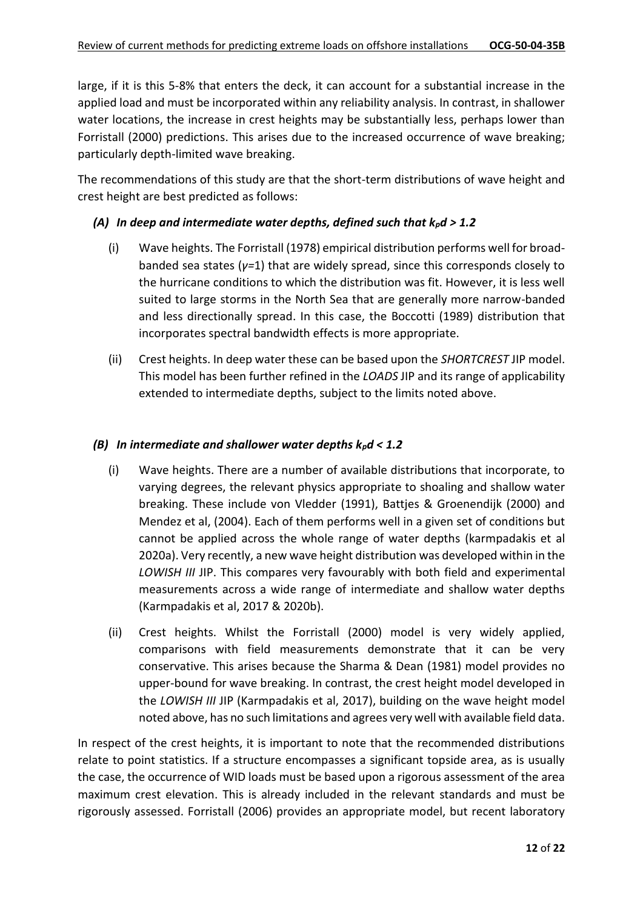large, if it is this 5-8% that enters the deck, it can account for a substantial increase in the applied load and must be incorporated within any reliability analysis. In contrast, in shallower water locations, the increase in crest heights may be substantially less, perhaps lower than Forristall (2000) predictions. This arises due to the increased occurrence of wave breaking; particularly depth-limited wave breaking.

The recommendations of this study are that the short-term distributions of wave height and crest height are best predicted as follows:

#### *(A) In deep and intermediate water depths, defined such that kpd > 1.2*

- (i) Wave heights. The Forristall (1978) empirical distribution performs well for broadbanded sea states (*γ=*1) that are widely spread, since this corresponds closely to the hurricane conditions to which the distribution was fit. However, it is less well suited to large storms in the North Sea that are generally more narrow-banded and less directionally spread. In this case, the Boccotti (1989) distribution that incorporates spectral bandwidth effects is more appropriate.
- (ii) Crest heights. In deep water these can be based upon the *SHORTCREST* JIP model. This model has been further refined in the *LOADS* JIP and its range of applicability extended to intermediate depths, subject to the limits noted above.

#### *(B) In intermediate and shallower water depths kpd < 1.2*

- (i) Wave heights. There are a number of available distributions that incorporate, to varying degrees, the relevant physics appropriate to shoaling and shallow water breaking. These include von Vledder (1991), Battjes & Groenendijk (2000) and Mendez et al, (2004). Each of them performs well in a given set of conditions but cannot be applied across the whole range of water depths (karmpadakis et al 2020a). Very recently, a new wave height distribution was developed within in the *LOWISH III* JIP. This compares very favourably with both field and experimental measurements across a wide range of intermediate and shallow water depths (Karmpadakis et al, 2017 & 2020b).
- (ii) Crest heights. Whilst the Forristall (2000) model is very widely applied, comparisons with field measurements demonstrate that it can be very conservative. This arises because the Sharma & Dean (1981) model provides no upper-bound for wave breaking. In contrast, the crest height model developed in the *LOWISH III* JIP (Karmpadakis et al, 2017), building on the wave height model noted above, has no such limitations and agrees very well with available field data.

In respect of the crest heights, it is important to note that the recommended distributions relate to point statistics. If a structure encompasses a significant topside area, as is usually the case, the occurrence of WID loads must be based upon a rigorous assessment of the area maximum crest elevation. This is already included in the relevant standards and must be rigorously assessed. Forristall (2006) provides an appropriate model, but recent laboratory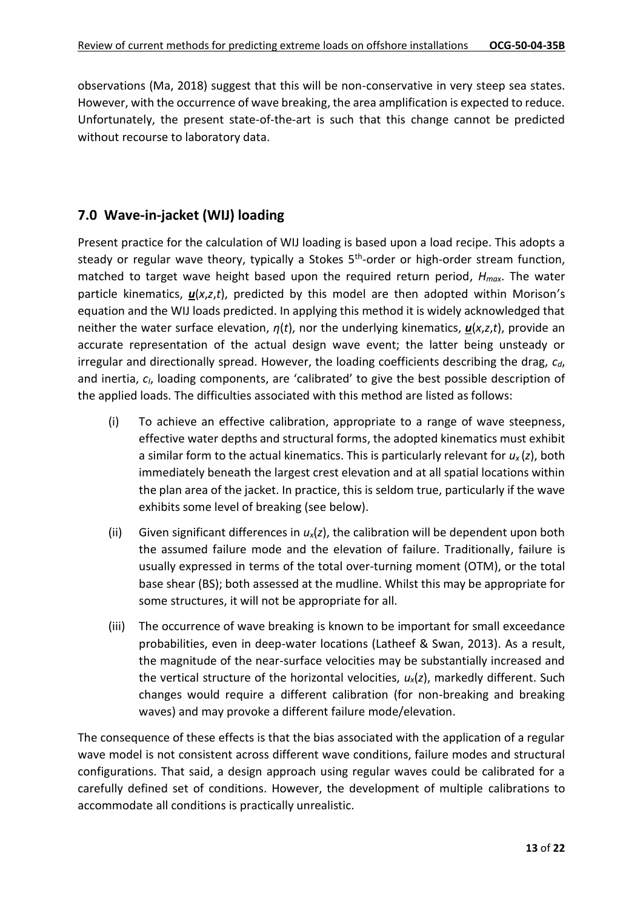observations (Ma, 2018) suggest that this will be non-conservative in very steep sea states. However, with the occurrence of wave breaking, the area amplification is expected to reduce. Unfortunately, the present state-of-the-art is such that this change cannot be predicted without recourse to laboratory data.

# **7.0 Wave-in-jacket (WIJ) loading**

Present practice for the calculation of WIJ loading is based upon a load recipe. This adopts a steady or regular wave theory, typically a Stokes 5<sup>th</sup>-order or high-order stream function, matched to target wave height based upon the required return period, *Hmax*. The water particle kinematics, *u*(*x*,*z*,*t*), predicted by this model are then adopted within Morison's equation and the WIJ loads predicted. In applying this method it is widely acknowledged that neither the water surface elevation, *η*(*t*), nor the underlying kinematics, *u*(*x*,*z*,*t*), provide an accurate representation of the actual design wave event; the latter being unsteady or irregular and directionally spread. However, the loading coefficients describing the drag, *cd*, and inertia, *cI*, loading components, are 'calibrated' to give the best possible description of the applied loads. The difficulties associated with this method are listed as follows:

- (i) To achieve an effective calibration, appropriate to a range of wave steepness, effective water depths and structural forms, the adopted kinematics must exhibit a similar form to the actual kinematics. This is particularly relevant for *ux* (*z*), both immediately beneath the largest crest elevation and at all spatial locations within the plan area of the jacket. In practice, this is seldom true, particularly if the wave exhibits some level of breaking (see below).
- (ii) Given significant differences in *ux*(*z*), the calibration will be dependent upon both the assumed failure mode and the elevation of failure. Traditionally, failure is usually expressed in terms of the total over-turning moment (OTM), or the total base shear (BS); both assessed at the mudline. Whilst this may be appropriate for some structures, it will not be appropriate for all.
- (iii) The occurrence of wave breaking is known to be important for small exceedance probabilities, even in deep-water locations (Latheef & Swan, 2013). As a result, the magnitude of the near-surface velocities may be substantially increased and the vertical structure of the horizontal velocities, *ux*(*z*), markedly different. Such changes would require a different calibration (for non-breaking and breaking waves) and may provoke a different failure mode/elevation.

The consequence of these effects is that the bias associated with the application of a regular wave model is not consistent across different wave conditions, failure modes and structural configurations. That said, a design approach using regular waves could be calibrated for a carefully defined set of conditions. However, the development of multiple calibrations to accommodate all conditions is practically unrealistic.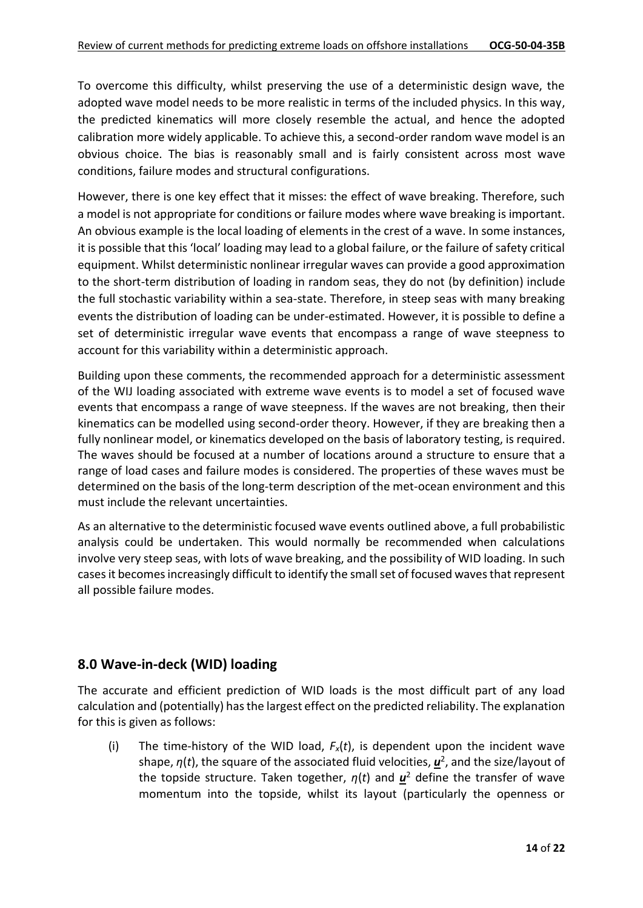To overcome this difficulty, whilst preserving the use of a deterministic design wave, the adopted wave model needs to be more realistic in terms of the included physics. In this way, the predicted kinematics will more closely resemble the actual, and hence the adopted calibration more widely applicable. To achieve this, a second-order random wave model is an obvious choice. The bias is reasonably small and is fairly consistent across most wave conditions, failure modes and structural configurations.

However, there is one key effect that it misses: the effect of wave breaking. Therefore, such a model is not appropriate for conditions or failure modes where wave breaking is important. An obvious example is the local loading of elements in the crest of a wave. In some instances, it is possible that this 'local' loading may lead to a global failure, or the failure of safety critical equipment. Whilst deterministic nonlinear irregular waves can provide a good approximation to the short-term distribution of loading in random seas, they do not (by definition) include the full stochastic variability within a sea-state. Therefore, in steep seas with many breaking events the distribution of loading can be under-estimated. However, it is possible to define a set of deterministic irregular wave events that encompass a range of wave steepness to account for this variability within a deterministic approach.

Building upon these comments, the recommended approach for a deterministic assessment of the WIJ loading associated with extreme wave events is to model a set of focused wave events that encompass a range of wave steepness. If the waves are not breaking, then their kinematics can be modelled using second-order theory. However, if they are breaking then a fully nonlinear model, or kinematics developed on the basis of laboratory testing, is required. The waves should be focused at a number of locations around a structure to ensure that a range of load cases and failure modes is considered. The properties of these waves must be determined on the basis of the long-term description of the met-ocean environment and this must include the relevant uncertainties.

As an alternative to the deterministic focused wave events outlined above, a full probabilistic analysis could be undertaken. This would normally be recommended when calculations involve very steep seas, with lots of wave breaking, and the possibility of WID loading. In such cases it becomes increasingly difficult to identify the small set of focused waves that represent all possible failure modes.

# **8.0 Wave-in-deck (WID) loading**

The accurate and efficient prediction of WID loads is the most difficult part of any load calculation and (potentially) has the largest effect on the predicted reliability. The explanation for this is given as follows:

(i) The time-history of the WID load,  $F_x(t)$ , is dependent upon the incident wave shape, *η*(*t*), the square of the associated fluid velocities, *u* 2 , and the size/layout of the topside structure. Taken together, *η*(*t*) and *u* <sup>2</sup> define the transfer of wave momentum into the topside, whilst its layout (particularly the openness or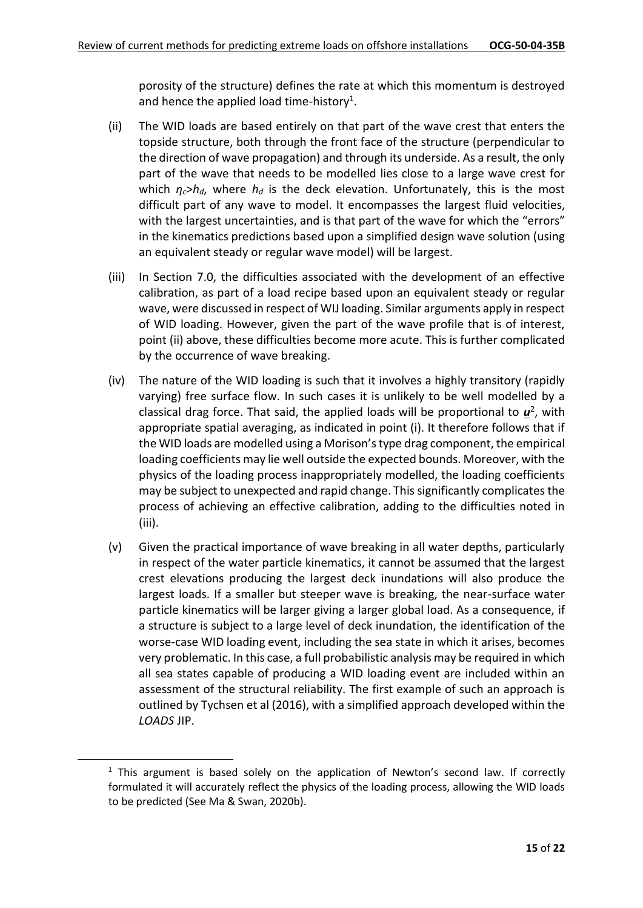porosity of the structure) defines the rate at which this momentum is destroyed and hence the applied load time-history<sup>1</sup>.

- (ii) The WID loads are based entirely on that part of the wave crest that enters the topside structure, both through the front face of the structure (perpendicular to the direction of wave propagation) and through its underside. As a result, the only part of the wave that needs to be modelled lies close to a large wave crest for which  $\eta_c$ > $h_d$ , where  $h_d$  is the deck elevation. Unfortunately, this is the most difficult part of any wave to model. It encompasses the largest fluid velocities, with the largest uncertainties, and is that part of the wave for which the "errors" in the kinematics predictions based upon a simplified design wave solution (using an equivalent steady or regular wave model) will be largest.
- (iii) In Section 7.0, the difficulties associated with the development of an effective calibration, as part of a load recipe based upon an equivalent steady or regular wave, were discussed in respect of WIJ loading. Similar arguments apply in respect of WID loading. However, given the part of the wave profile that is of interest, point (ii) above, these difficulties become more acute. This is further complicated by the occurrence of wave breaking.
- (iv) The nature of the WID loading is such that it involves a highly transitory (rapidly varying) free surface flow. In such cases it is unlikely to be well modelled by a classical drag force. That said, the applied loads will be proportional to  $\underline{u}^2$ , with appropriate spatial averaging, as indicated in point (i). It therefore follows that if the WID loads are modelled using a Morison's type drag component, the empirical loading coefficients may lie well outside the expected bounds. Moreover, with the physics of the loading process inappropriately modelled, the loading coefficients may be subject to unexpected and rapid change. This significantly complicates the process of achieving an effective calibration, adding to the difficulties noted in (iii).
- (v) Given the practical importance of wave breaking in all water depths, particularly in respect of the water particle kinematics, it cannot be assumed that the largest crest elevations producing the largest deck inundations will also produce the largest loads. If a smaller but steeper wave is breaking, the near-surface water particle kinematics will be larger giving a larger global load. As a consequence, if a structure is subject to a large level of deck inundation, the identification of the worse-case WID loading event, including the sea state in which it arises, becomes very problematic. In this case, a full probabilistic analysis may be required in which all sea states capable of producing a WID loading event are included within an assessment of the structural reliability. The first example of such an approach is outlined by Tychsen et al (2016), with a simplified approach developed within the *LOADS* JIP.

 $1$  This argument is based solely on the application of Newton's second law. If correctly formulated it will accurately reflect the physics of the loading process, allowing the WID loads to be predicted (See Ma & Swan, 2020b).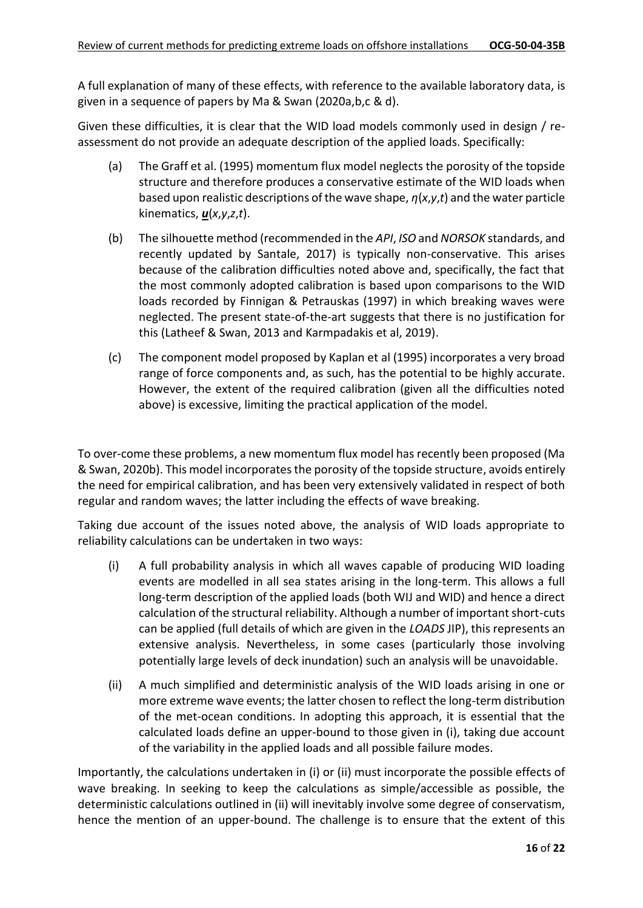A full explanation of many of these effects, with reference to the available laboratory data, is given in a sequence of papers by Ma & Swan (2020a,b,c & d).

Given these difficulties, it is clear that the WID load models commonly used in design / reassessment do not provide an adequate description of the applied loads. Specifically:

- (a) The Graff et al. (1995) momentum flux model neglects the porosity of the topside structure and therefore produces a conservative estimate of the WID loads when based upon realistic descriptions of the wave shape, *η*(*x*,*y*,*t*) and the water particle kinematics, *u*(*x*,*y*,*z*,*t*).
- (b) The silhouette method (recommended in the *API*, *ISO* and *NORSOK* standards, and recently updated by Santale, 2017) is typically non-conservative. This arises because of the calibration difficulties noted above and, specifically, the fact that the most commonly adopted calibration is based upon comparisons to the WID loads recorded by Finnigan & Petrauskas (1997) in which breaking waves were neglected. The present state-of-the-art suggests that there is no justification for this (Latheef & Swan, 2013 and Karmpadakis et al, 2019).
- (c) The component model proposed by Kaplan et al (1995) incorporates a very broad range of force components and, as such, has the potential to be highly accurate. However, the extent of the required calibration (given all the difficulties noted above) is excessive, limiting the practical application of the model.

To over-come these problems, a new momentum flux model has recently been proposed (Ma & Swan, 2020b). This model incorporates the porosity of the topside structure, avoids entirely the need for empirical calibration, and has been very extensively validated in respect of both regular and random waves; the latter including the effects of wave breaking.

Taking due account of the issues noted above, the analysis of WID loads appropriate to reliability calculations can be undertaken in two ways:

- (i) A full probability analysis in which all waves capable of producing WID loading events are modelled in all sea states arising in the long-term. This allows a full long-term description of the applied loads (both WIJ and WID) and hence a direct calculation of the structural reliability. Although a number of important short-cuts can be applied (full details of which are given in the *LOADS* JIP), this represents an extensive analysis. Nevertheless, in some cases (particularly those involving potentially large levels of deck inundation) such an analysis will be unavoidable.
- (ii) A much simplified and deterministic analysis of the WID loads arising in one or more extreme wave events; the latter chosen to reflect the long-term distribution of the met-ocean conditions. In adopting this approach, it is essential that the calculated loads define an upper-bound to those given in (i), taking due account of the variability in the applied loads and all possible failure modes.

Importantly, the calculations undertaken in (i) or (ii) must incorporate the possible effects of wave breaking. In seeking to keep the calculations as simple/accessible as possible, the deterministic calculations outlined in (ii) will inevitably involve some degree of conservatism, hence the mention of an upper-bound. The challenge is to ensure that the extent of this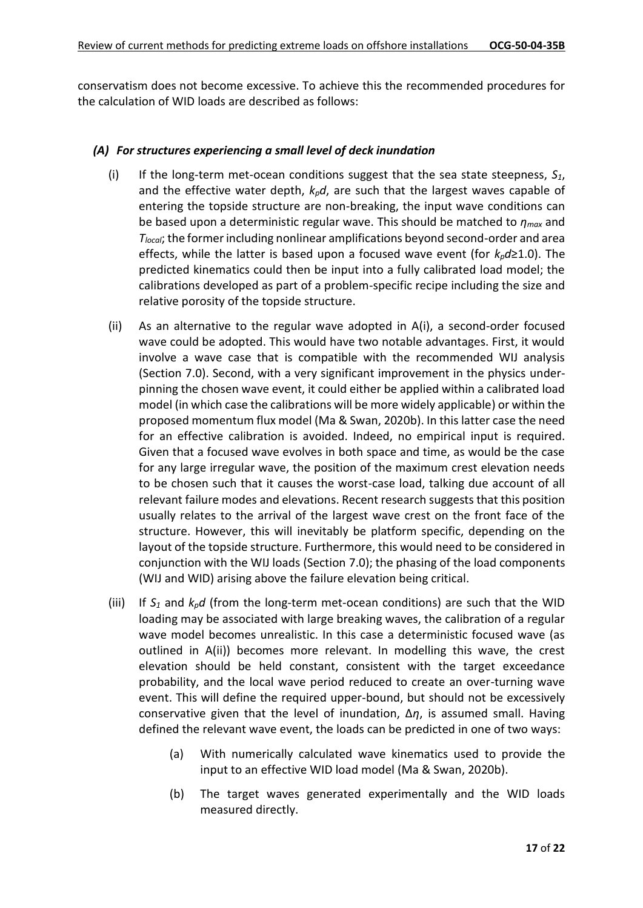conservatism does not become excessive. To achieve this the recommended procedures for the calculation of WID loads are described as follows:

#### *(A) For structures experiencing a small level of deck inundation*

- (i) If the long-term met-ocean conditions suggest that the sea state steepness,  $S_1$ , and the effective water depth, *kpd*, are such that the largest waves capable of entering the topside structure are non-breaking, the input wave conditions can be based upon a deterministic regular wave. This should be matched to *ηmax* and *Tlocal*; the former including nonlinear amplifications beyond second-order and area effects, while the latter is based upon a focused wave event (for *kpd*≥1.0). The predicted kinematics could then be input into a fully calibrated load model; the calibrations developed as part of a problem-specific recipe including the size and relative porosity of the topside structure.
- (ii) As an alternative to the regular wave adopted in A(i), a second-order focused wave could be adopted. This would have two notable advantages. First, it would involve a wave case that is compatible with the recommended WIJ analysis (Section 7.0). Second, with a very significant improvement in the physics underpinning the chosen wave event, it could either be applied within a calibrated load model (in which case the calibrations will be more widely applicable) or within the proposed momentum flux model (Ma & Swan, 2020b). In this latter case the need for an effective calibration is avoided. Indeed, no empirical input is required. Given that a focused wave evolves in both space and time, as would be the case for any large irregular wave, the position of the maximum crest elevation needs to be chosen such that it causes the worst-case load, talking due account of all relevant failure modes and elevations. Recent research suggests that this position usually relates to the arrival of the largest wave crest on the front face of the structure. However, this will inevitably be platform specific, depending on the layout of the topside structure. Furthermore, this would need to be considered in conjunction with the WIJ loads (Section 7.0); the phasing of the load components (WIJ and WID) arising above the failure elevation being critical.
- (iii) If  $S_1$  and  $k_p d$  (from the long-term met-ocean conditions) are such that the WID loading may be associated with large breaking waves, the calibration of a regular wave model becomes unrealistic. In this case a deterministic focused wave (as outlined in A(ii)) becomes more relevant. In modelling this wave, the crest elevation should be held constant, consistent with the target exceedance probability, and the local wave period reduced to create an over-turning wave event. This will define the required upper-bound, but should not be excessively conservative given that the level of inundation, Δ*η*, is assumed small. Having defined the relevant wave event, the loads can be predicted in one of two ways:
	- (a) With numerically calculated wave kinematics used to provide the input to an effective WID load model (Ma & Swan, 2020b).
	- (b) The target waves generated experimentally and the WID loads measured directly.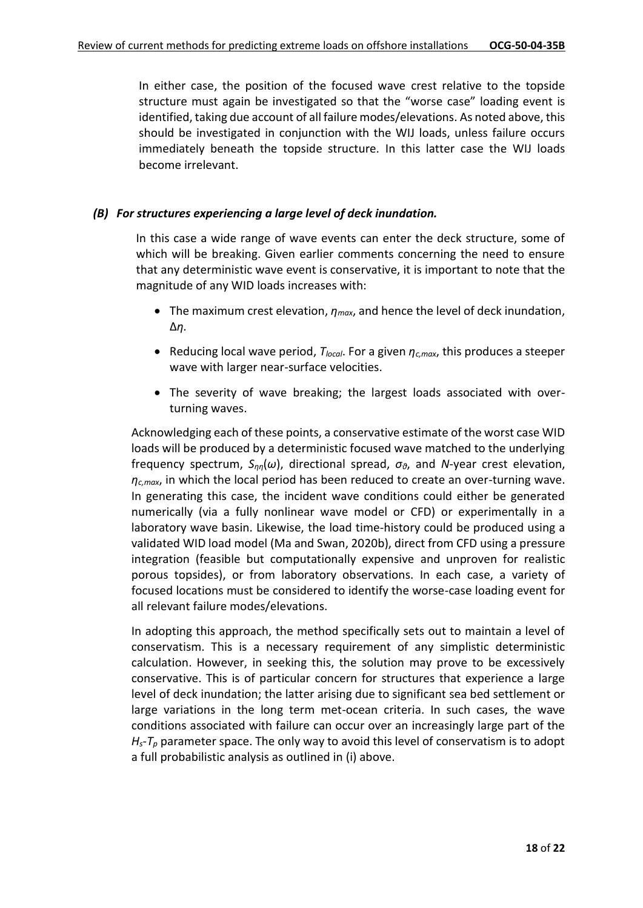In either case, the position of the focused wave crest relative to the topside structure must again be investigated so that the "worse case" loading event is identified, taking due account of all failure modes/elevations. As noted above, this should be investigated in conjunction with the WIJ loads, unless failure occurs immediately beneath the topside structure. In this latter case the WIJ loads become irrelevant.

#### *(B) For structures experiencing a large level of deck inundation.*

In this case a wide range of wave events can enter the deck structure, some of which will be breaking. Given earlier comments concerning the need to ensure that any deterministic wave event is conservative, it is important to note that the magnitude of any WID loads increases with:

- The maximum crest elevation, *ηmax*, and hence the level of deck inundation, Δ*η.*
- Reducing local wave period, *Tlocal*. For a given *ηc,max*, this produces a steeper wave with larger near-surface velocities.
- The severity of wave breaking; the largest loads associated with overturning waves.

Acknowledging each of these points, a conservative estimate of the worst case WID loads will be produced by a deterministic focused wave matched to the underlying frequency spectrum, *Sηη*(*ω*), directional spread, *σθ*, and *N*-year crest elevation, *ηc,max*, in which the local period has been reduced to create an over-turning wave. In generating this case, the incident wave conditions could either be generated numerically (via a fully nonlinear wave model or CFD) or experimentally in a laboratory wave basin. Likewise, the load time-history could be produced using a validated WID load model (Ma and Swan, 2020b), direct from CFD using a pressure integration (feasible but computationally expensive and unproven for realistic porous topsides), or from laboratory observations. In each case, a variety of focused locations must be considered to identify the worse-case loading event for all relevant failure modes/elevations.

In adopting this approach, the method specifically sets out to maintain a level of conservatism. This is a necessary requirement of any simplistic deterministic calculation. However, in seeking this, the solution may prove to be excessively conservative. This is of particular concern for structures that experience a large level of deck inundation; the latter arising due to significant sea bed settlement or large variations in the long term met-ocean criteria. In such cases, the wave conditions associated with failure can occur over an increasingly large part of the *Hs*-*T<sup>p</sup>* parameter space. The only way to avoid this level of conservatism is to adopt a full probabilistic analysis as outlined in (i) above.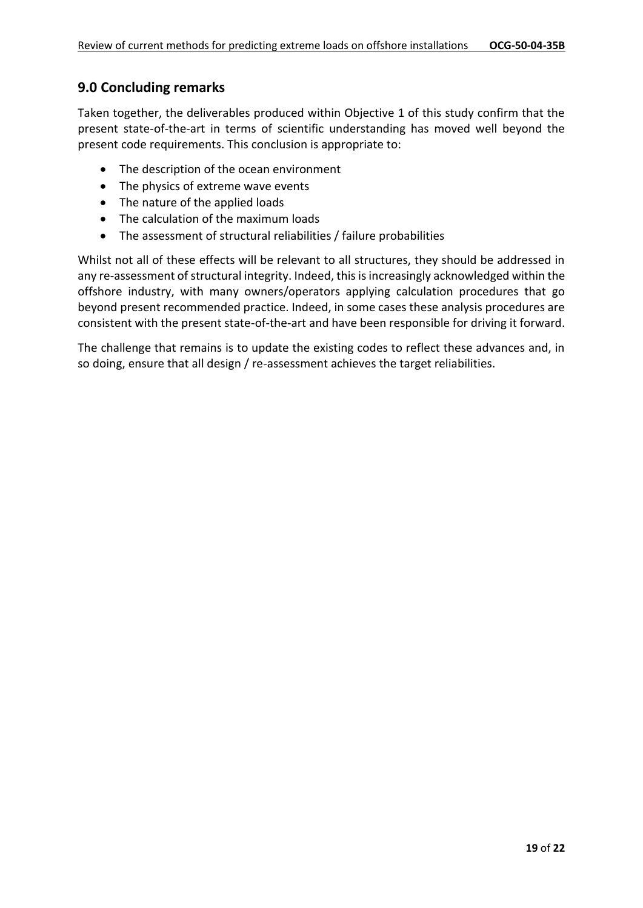### **9.0 Concluding remarks**

Taken together, the deliverables produced within Objective 1 of this study confirm that the present state-of-the-art in terms of scientific understanding has moved well beyond the present code requirements. This conclusion is appropriate to:

- The description of the ocean environment
- The physics of extreme wave events
- The nature of the applied loads
- The calculation of the maximum loads
- The assessment of structural reliabilities / failure probabilities

Whilst not all of these effects will be relevant to all structures, they should be addressed in any re-assessment of structural integrity. Indeed, this is increasingly acknowledged within the offshore industry, with many owners/operators applying calculation procedures that go beyond present recommended practice. Indeed, in some cases these analysis procedures are consistent with the present state-of-the-art and have been responsible for driving it forward.

The challenge that remains is to update the existing codes to reflect these advances and, in so doing, ensure that all design / re-assessment achieves the target reliabilities.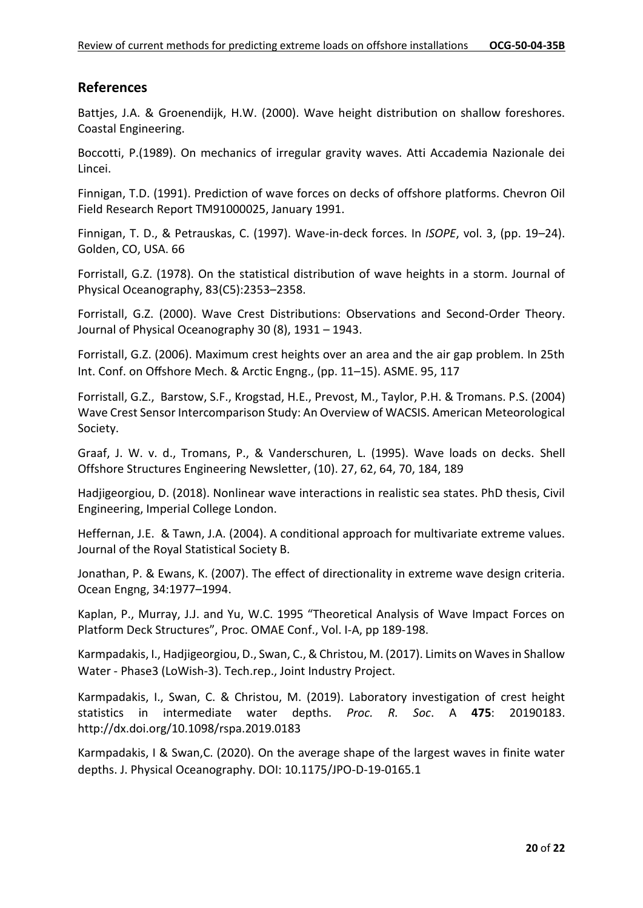#### **References**

Battjes, J.A. & Groenendijk, H.W. (2000). Wave height distribution on shallow foreshores. Coastal Engineering.

Boccotti, P.(1989). On mechanics of irregular gravity waves. Atti Accademia Nazionale dei Lincei.

Finnigan, T.D. (1991). Prediction of wave forces on decks of offshore platforms. Chevron Oil Field Research Report TM91000025, January 1991.

Finnigan, T. D., & Petrauskas, C. (1997). Wave-in-deck forces. In *ISOPE*, vol. 3, (pp. 19–24). Golden, CO, USA. 66

Forristall, G.Z. (1978). On the statistical distribution of wave heights in a storm. Journal of Physical Oceanography, 83(C5):2353–2358.

Forristall, G.Z. (2000). Wave Crest Distributions: Observations and Second-Order Theory. Journal of Physical Oceanography 30 (8), 1931 – 1943.

Forristall, G.Z. (2006). Maximum crest heights over an area and the air gap problem. In 25th Int. Conf. on Offshore Mech. & Arctic Engng., (pp. 11–15). ASME. 95, 117

Forristall, G.Z., Barstow, S.F., Krogstad, H.E., Prevost, M., Taylor, P.H. & Tromans. P.S. (2004) Wave Crest Sensor Intercomparison Study: An Overview of WACSIS. American Meteorological Society.

Graaf, J. W. v. d., Tromans, P., & Vanderschuren, L. (1995). Wave loads on decks. Shell Offshore Structures Engineering Newsletter, (10). 27, 62, 64, 70, 184, 189

Hadjigeorgiou, D. (2018). Nonlinear wave interactions in realistic sea states. PhD thesis, Civil Engineering, Imperial College London.

Heffernan, J.E. & Tawn, J.A. (2004). A conditional approach for multivariate extreme values. Journal of the Royal Statistical Society B.

Jonathan, P. & Ewans, K. (2007). The effect of directionality in extreme wave design criteria. Ocean Engng, 34:1977–1994.

Kaplan, P., Murray, J.J. and Yu, W.C. 1995 "Theoretical Analysis of Wave Impact Forces on Platform Deck Structures", Proc. OMAE Conf., Vol. I-A, pp 189-198.

Karmpadakis, I., Hadjigeorgiou, D., Swan, C., & Christou, M. (2017). Limits on Waves in Shallow Water - Phase3 (LoWish-3). Tech.rep., Joint Industry Project.

Karmpadakis, I., Swan, C. & Christou, M. (2019). Laboratory investigation of crest height statistics in intermediate water depths. *Proc. R. Soc*. A **475**: 20190183. http://dx.doi.org/10.1098/rspa.2019.0183

Karmpadakis, I & Swan,C. (2020). On the average shape of the largest waves in finite water depths. J. Physical Oceanography. DOI: 10.1175/JPO-D-19-0165.1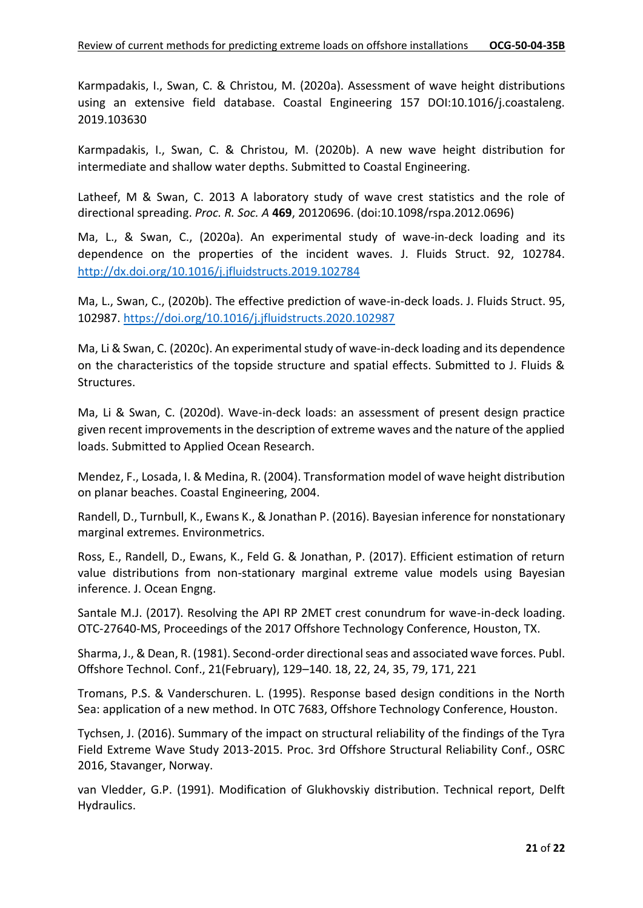Karmpadakis, I., Swan, C. & Christou, M. (2020a). Assessment of wave height distributions using an extensive field database. Coastal Engineering 157 DOI:10.1016/j.coastaleng. 2019.103630

Karmpadakis, I., Swan, C. & Christou, M. (2020b). A new wave height distribution for intermediate and shallow water depths. Submitted to Coastal Engineering.

Latheef, M & Swan, C. 2013 A laboratory study of wave crest statistics and the role of directional spreading. *Proc. R. Soc. A* **469**, 20120696. (doi:10.1098/rspa.2012.0696)

Ma, L., & Swan, C., (2020a). An experimental study of wave-in-deck loading and its dependence on the properties of the incident waves. J. Fluids Struct. 92, 102784. <http://dx.doi.org/10.1016/j.jfluidstructs.2019.102784>

Ma, L., Swan, C., (2020b). The effective prediction of wave-in-deck loads. J. Fluids Struct. 95, 102987.<https://doi.org/10.1016/j.jfluidstructs.2020.102987>

Ma, Li & Swan, C. (2020c). An experimental study of wave-in-deck loading and its dependence on the characteristics of the topside structure and spatial effects. Submitted to J. Fluids & Structures.

Ma, Li & Swan, C. (2020d). Wave-in-deck loads: an assessment of present design practice given recent improvements in the description of extreme waves and the nature of the applied loads. Submitted to Applied Ocean Research.

Mendez, F., Losada, I. & Medina, R. (2004). Transformation model of wave height distribution on planar beaches. Coastal Engineering, 2004.

Randell, D., Turnbull, K., Ewans K., & Jonathan P. (2016). Bayesian inference for nonstationary marginal extremes. Environmetrics.

Ross, E., Randell, D., Ewans, K., Feld G. & Jonathan, P. (2017). Efficient estimation of return value distributions from non-stationary marginal extreme value models using Bayesian inference. J. Ocean Engng.

Santale M.J. (2017). Resolving the API RP 2MET crest conundrum for wave-in-deck loading. OTC-27640-MS, Proceedings of the 2017 Offshore Technology Conference, Houston, TX.

Sharma, J., & Dean, R. (1981). Second-order directional seas and associated wave forces. Publ. Offshore Technol. Conf., 21(February), 129–140. 18, 22, 24, 35, 79, 171, 221

Tromans, P.S. & Vanderschuren. L. (1995). Response based design conditions in the North Sea: application of a new method. In OTC 7683, Offshore Technology Conference, Houston.

Tychsen, J. (2016). Summary of the impact on structural reliability of the findings of the Tyra Field Extreme Wave Study 2013-2015. Proc. 3rd Offshore Structural Reliability Conf., OSRC 2016, Stavanger, Norway.

van Vledder, G.P. (1991). Modification of Glukhovskiy distribution. Technical report, Delft Hydraulics.